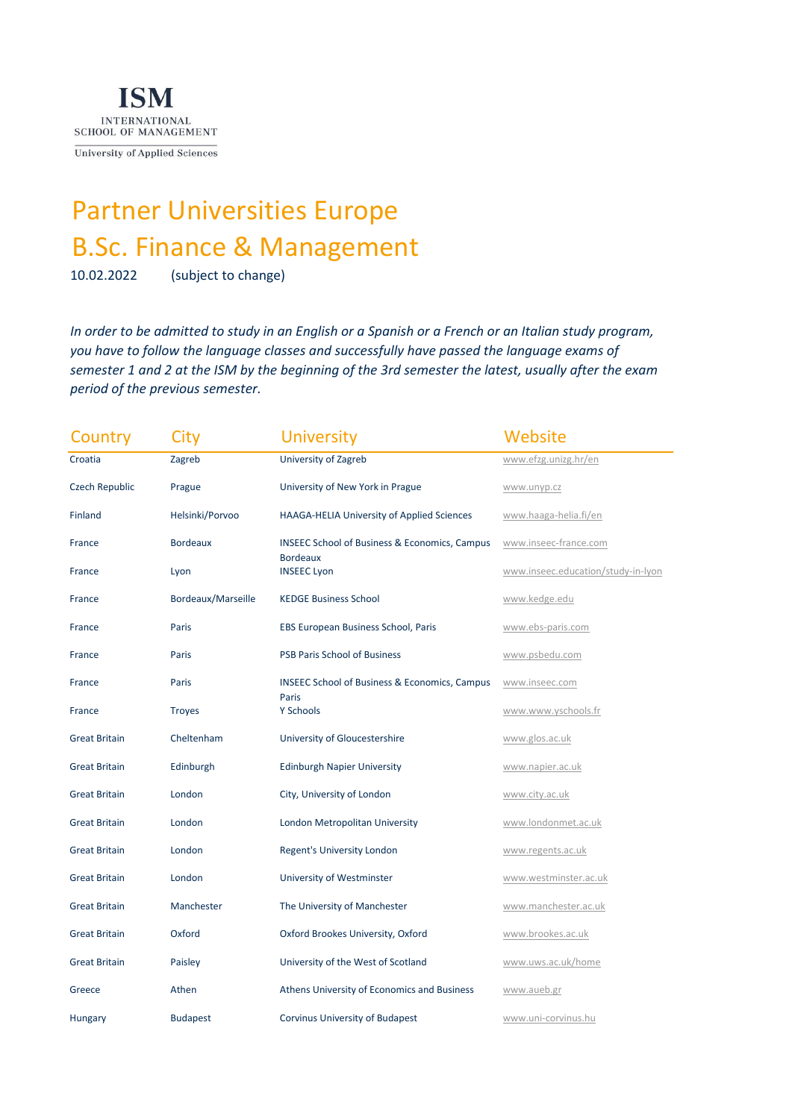

University of Applied Sciences

## Partner Universities Europe B.Sc. Finance & Management

10.02.2022 (subject to change)

*In order to be admitted to study in an English or a Spanish or a French or an Italian study program, you have to follow the language classes and successfully have passed the language exams of semester 1 and 2 at the ISM by the beginning of the 3rd semester the latest, usually after the exam period of the previous semester.* 

| Country               | City               | <b>University</b>                                                 | Website                            |
|-----------------------|--------------------|-------------------------------------------------------------------|------------------------------------|
| Croatia               | Zagreb             | University of Zagreb                                              | www.efzg.unizg.hr/en               |
| <b>Czech Republic</b> | Prague             | University of New York in Prague                                  | www.unyp.cz                        |
| Finland               | Helsinki/Porvoo    | HAAGA-HELIA University of Applied Sciences                        | www.haaga-helia.fi/en              |
| France                | <b>Bordeaux</b>    | <b>INSEEC School of Business &amp; Economics, Campus</b>          | www.inseec-france.com              |
| France                | Lyon               | <b>Bordeaux</b><br><b>INSEEC Lyon</b>                             | www.inseec.education/study-in-lyon |
| France                | Bordeaux/Marseille | <b>KEDGE Business School</b>                                      | www.kedge.edu                      |
| France                | Paris              | EBS European Business School, Paris                               | www.ebs-paris.com                  |
| France                | Paris              | <b>PSB Paris School of Business</b>                               | www.psbedu.com                     |
| France                | Paris              | <b>INSEEC School of Business &amp; Economics, Campus</b><br>Paris | www.inseec.com                     |
| France                | <b>Troyes</b>      | Y Schools                                                         | www.www.yschools.fr                |
| <b>Great Britain</b>  | Cheltenham         | University of Gloucestershire                                     | www.glos.ac.uk                     |
| <b>Great Britain</b>  | Edinburgh          | <b>Edinburgh Napier University</b>                                | www.napier.ac.uk                   |
| <b>Great Britain</b>  | London             | City, University of London                                        | www.city.ac.uk                     |
| <b>Great Britain</b>  | London             | London Metropolitan University                                    | www.londonmet.ac.uk                |
| <b>Great Britain</b>  | London             | Regent's University London                                        | www.regents.ac.uk                  |
| <b>Great Britain</b>  | London             | University of Westminster                                         | www.westminster.ac.uk              |
| <b>Great Britain</b>  | Manchester         | The University of Manchester                                      | www.manchester.ac.uk               |
| <b>Great Britain</b>  | Oxford             | Oxford Brookes University, Oxford                                 | www.brookes.ac.uk                  |
| <b>Great Britain</b>  | Paisley            | University of the West of Scotland                                | www.uws.ac.uk/home                 |
| Greece                | Athen              | Athens University of Economics and Business                       | www.aueb.gr                        |
| <b>Hungary</b>        | <b>Budapest</b>    | Corvinus University of Budapest                                   | www.uni-corvinus.hu                |